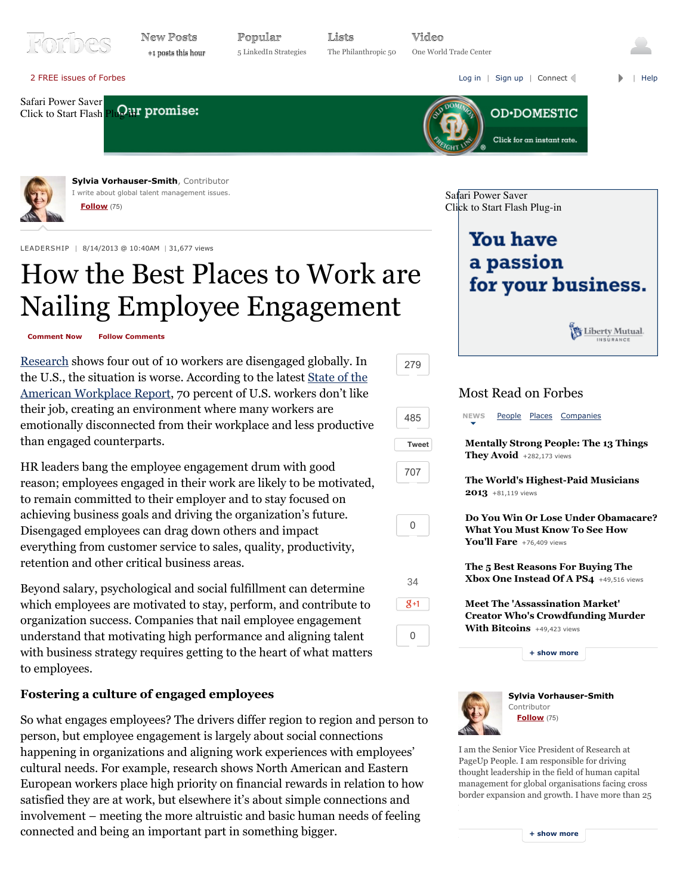**[New Posts](http://www.forbes.com/real-time/)** +1 posts this hour

**Popular** [5 LinkedIn Strategies](http://www.forbes.com/most-popular/)

**Lists** [The Philanthropic 50](http://www.forbes.com/lists/)

**Video** [One World Trade Center](http://www.forbes.com/video/)

Safari Power Saver Click to Start Flash  $P\cup Q$ ur promise:





[2 FREE issues of Forbes](http://bit.ly/17QKNDv) [Log in](http://blogs.forbes.com/account/login/) | [Sign up](http://blogs.forbes.com/account/register/) | Connect | [Help](http://blogs.forbes.com/help/)



279

485

**[Tweet](https://twitter.com/intent/tweet?original_referer=http%3A%2F%2Fwww.forbes.com%2Fsites%2Fsylviavorhausersmith%2F2013%2F08%2F14%2Fhow-the-best-places-to-work-are-nailing-employee-engagement%2F&related=forbes&text=How%20the%20Best%20Places%20to%20Work%20are%20Nailing%20Employee%20Engagement%20&tw_p=tweetbutton&url=http%3A%2F%2Fonforb.es%2F14bR1ey&via=forbes)**

707

0

34

 $8 + 1$ 

0



**[Follow](javascript://follow)** (75) **[Sylvia Vorhauser-Smith](http://www.forbes.com/sites/sylviavorhausersmith/)**, Contributor I write about global talent management issues.

[LEADERSHIP](http://www.forbes.com/leadership) | 8/14/2013 @ 10:40AM | 31,677 views

# How the Best Places to Work are Nailing Employee Engagement

**[Comment Now](http://www.forbes.com/sites/sylviavorhausersmith/2013/08/14/how-the-best-places-to-work-are-nailing-employee-engagement/#comment_reply) [Follow Comments](javascript://follow)**

[Research](http://www.blessingwhite.com/EEE__report.asp) shows four out of 10 workers are disengaged globally. In [the U.S., the situation is worse. According to the latest State of the](http://www.gallup.com/strategicconsulting/163007/state-american-workplace.aspx) American Workplace Report, 70 percent of U.S. workers don't like their job, creating an environment where many workers are emotionally disconnected from their workplace and less productive than engaged counterparts.

HR leaders bang the employee engagement drum with good reason; employees engaged in their work are likely to be motivated, to remain committed to their employer and to stay focused on achieving business goals and driving the organization's future. Disengaged employees can drag down others and impact everything from customer service to sales, quality, productivity, retention and other critical business areas.

Beyond salary, psychological and social fulfillment can determine which employees are motivated to stay, perform, and contribute to organization success. Companies that nail employee engagement understand that motivating high performance and aligning talent with business strategy requires getting to the heart of what matters to employees.

#### **Fostering a culture of engaged employees**

So what engages employees? The drivers differ region to region and person to person, but employee engagement is largely about social connections happening in organizations and aligning work experiences with employees' cultural needs. For example, research shows North American and Eastern European workers place high priority on financial rewards in relation to how satisfied they are at work, but elsewhere it's about simple connections and involvement – meeting the more altruistic and basic human needs of feeling connected and being an important part in something bigger.

Safari Power Saver Click to Start Flash Plug-in

### **You have** a passion for your business.

Liberty Mutual **INSURANCE** 

#### Most Read on Forbes





**[Sylvia Vorhauser-Smith](http://www.forbes.com/sites/sylviavorhausersmith/)** Contributor **[Follow](javascript://follow)** (75)

I am the Senior Vice President of Research at PageUp People. I am responsible for driving thought leadership in the field of human capital management for global organisations facing cross border expansion and growth. I have more than 25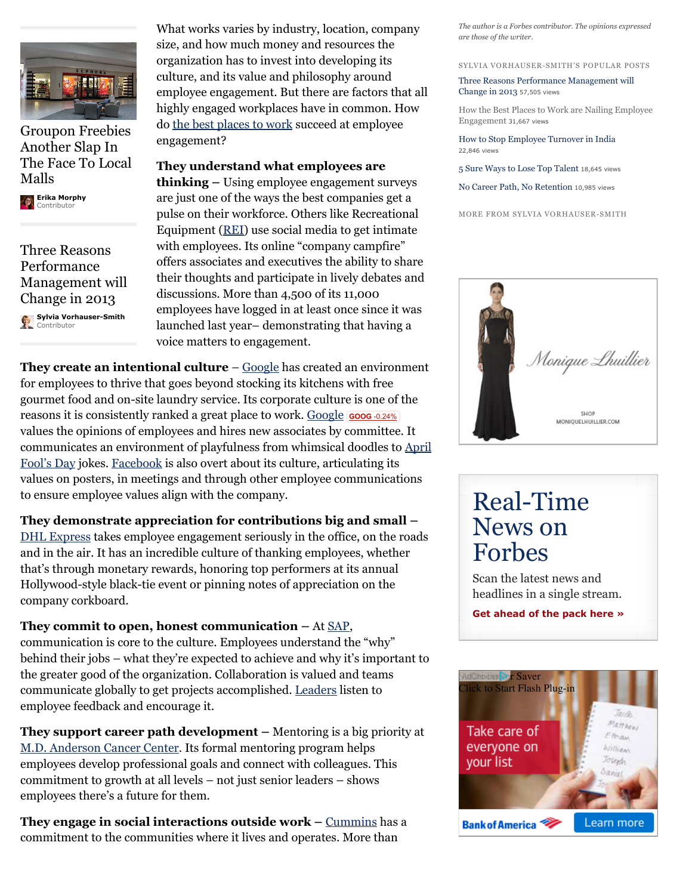

Groupon Freebies Another Slap In [The Face To Local](http://www.forbes.com/sites/erikamorphy/2013/11/20/groupon-freebies-another-slap-in-the-face-to-local-malls/) Malls



Three Reasons Performance [Management will](http://www.forbes.com/sites/sylviavorhausersmith/2012/12/16/the-new-face-of-performance-management-trading-annual-reviews-for-agile-management/) Change in 2013

**[Sylvia Vorhauser-Smith](http://www.forbes.com/sites/sylviavorhausersmith/)** Contributor

What works varies by industry, location, company size, and how much money and resources the organization has to invest into developing its culture, and its value and philosophy around employee engagement. But there are factors that all highly engaged workplaces have in common. How do [the best places to work](http://www.glassdoor.com/Best-Places-to-Work-LST_KQ0,19.htm) succeed at employee engagement?

**They understand what employees are**

**thinking –** Using employee engagement surveys are just one of the ways the best companies get a pulse on their workforce. Others like Recreational Equipment [\(REI\)](http://www.rei.com/) use social media to get intimate with employees. Its online "company campfire" offers associates and executives the ability to share their thoughts and participate in lively debates and discussions. More than 4,500 of its 11,000 employees have logged in at least once since it was launched last year– demonstrating that having a voice matters to engagement.

**They create an intentional culture – [Google](http://books.google.com/books/about/Case_study_Corporate_culture.html?id=LYU2hwgcrUsC) has created an environment** for employees to thrive that goes beyond stocking its kitchens with free gourmet food and on-site laundry service. Its corporate culture is one of the reasons it is consistently ranked a great place to work. [Google](http://www.forbes.com/companies/google/) **GOOG** [-0.24%](http://www.forbes.com/companies/google/) values the opinions of employees and hires new associates by committee. It [communicates an environment of playfulness from whimsical doodles to April](http://www.google.com/mentalplex/) Fool's Day jokes. [Facebook](http://ericgeiger.com/2012/05/values-culture-and-facebook/#.UgUQHpLvv3o) is also overt about its culture, articulating its values on posters, in meetings and through other employee communications to ensure employee values align with the company.

**They demonstrate appreciation for contributions big and small –** [DHL Express](http://www.africanews.com/site/DHL_Africa_puts_employee_recognition_first/list_messages/43234) takes employee engagement seriously in the office, on the roads and in the air. It has an incredible culture of thanking employees, whether that's through monetary rewards, honoring top performers at its annual Hollywood-style black-tie event or pinning notes of appreciation on the company corkboard.

**They commit to open, honest communication –** At [SAP,](http://blogs.sap.com/innovation/human-resources/ten-powerful-employee-engagement-lessons-023260) communication is core to the culture. Employees understand the "why" behind their jobs – what they're expected to achieve and why it's important to the greater good of the organization. Collaboration is valued and teams communicate globally to get projects accomplished. [Leaders](http://www.forbes.com/leaders/) listen to employee feedback and encourage it.

**They support career path development –** Mentoring is a big priority at [M.D. Anderson Cancer Center](http://www.mdanderson.org/education-and-research/departments-programs-and-labs/departments-and-divisions/cancer-biology/faculty-mentoring/cancer-biology-faculty-mentoring.html). Its formal mentoring program helps employees develop professional goals and connect with colleagues. This commitment to growth at all levels – not just senior leaders – shows employees there's a future for them.

**They engage in social interactions outside work – [Cummins](http://www.cummins.com/cmi/) has a** commitment to the communities where it lives and operates. More than

*The author is a Forbes contributor. The opinions expressed are those of the writer.*

SYLVIA VORHAUSER-SMITH'S POPULAR POSTS

[Three Reasons Performance Management will](http://www.forbes.com/sites/sylviavorhausersmith/2012/12/16/the-new-face-of-performance-management-trading-annual-reviews-for-agile-management/) Change in 2013 57,505 views

[How the Best Places to Work are Nailing Employee](http://www.forbes.com/sites/sylviavorhausersmith/2013/08/14/how-the-best-places-to-work-are-nailing-employee-engagement/) Engagement 31,667 views

[How to Stop Employee Turnover in India](http://www.forbes.com/sites/sylviavorhausersmith/2012/07/02/how-to-stop-employee-turnover-in-india/) 22,846 views

[5 Sure Ways to Lose Top Talent](http://www.forbes.com/sites/sylviavorhausersmith/2013/02/11/5-sure-ways-to-lose-top-talent/) 18,645 views

[No Career Path, No Retention](http://www.forbes.com/sites/sylviavorhausersmith/2012/11/12/no-career-path-no-retention/) 10,985 views

MORE FROM SYLVIA VORHAUSER-SMITH



## [Real-Time](http://www.forbes.com/real-time/) News on Forbes

Scan the latest news and headlines in a single stream.

**Get ahead of the pack here »**

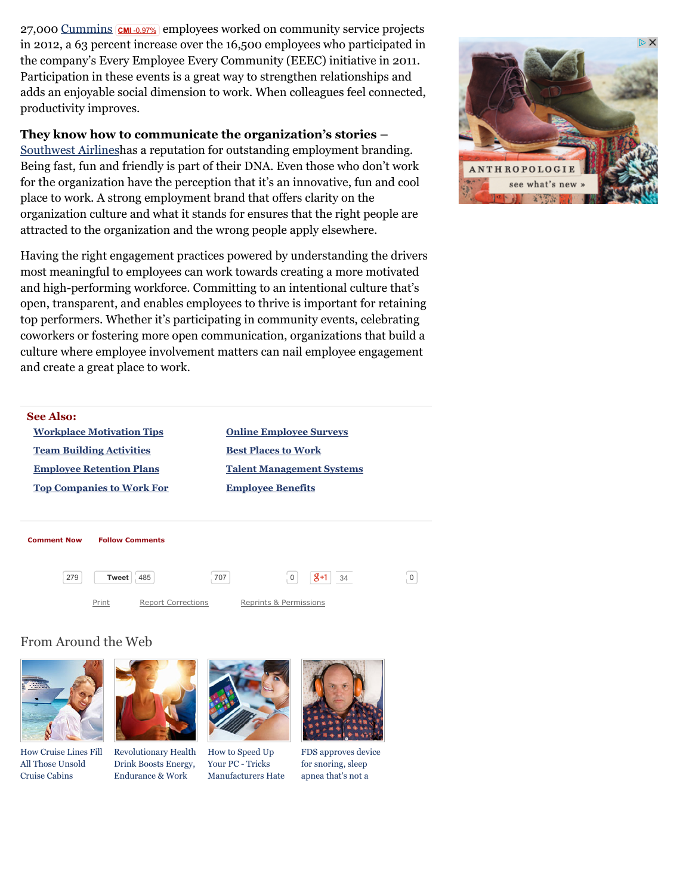27,000 [Cummins](http://www.forbes.com/companies/cummins/) **CMI** [-0.97%](http://www.forbes.com/companies/cummins/) employees worked on community service projects in 2012, a 63 percent increase over the 16,500 employees who participated in the company's Every Employee Every Community (EEEC) initiative in 2011. Participation in these events is a great way to strengthen relationships and adds an enjoyable social dimension to work. When colleagues feel connected, productivity improves.

#### **They know how to communicate the organization's stories –**

[Southwest Airlinesh](http://www.southwest.com/html/about-southwest/careers/index.html)as a reputation for outstanding employment branding. Being fast, fun and friendly is part of their DNA. Even those who don't work for the organization have the perception that it's an innovative, fun and cool place to work. A strong employment brand that offers clarity on the organization culture and what it stands for ensures that the right people are attracted to the organization and the wrong people apply elsewhere.

Having the right engagement practices powered by understanding the drivers most meaningful to employees can work towards creating a more motivated and high-performing workforce. Committing to an intentional culture that's open, transparent, and enables employees to thrive is important for retaining top performers. Whether it's participating in community events, celebrating coworkers or fostering more open communication, organizations that build a culture where employee involvement matters can nail employee engagement and create a great place to work.



| <b>Workplace Motivation Tips</b>             | <b>Online Employee Surveys</b>   |  |  |
|----------------------------------------------|----------------------------------|--|--|
| <b>Team Building Activities</b>              | <b>Best Places to Work</b>       |  |  |
| <b>Employee Retention Plans</b>              | <b>Talent Management Systems</b> |  |  |
| <b>Top Companies to Work For</b>             | <b>Employee Benefits</b>         |  |  |
|                                              |                                  |  |  |
| <b>Follow Comments</b><br><b>Comment Now</b> |                                  |  |  |



#### From Around the Web



**See Also:**

[How Cruise Lines Fill](http://howlifeworks.com/travel/VTG_joy_of_cruising?ag_id=166&wid=2598B1FB-FEB3-4820-88A7-6A9B8291BCD3&did=2685&cid=1005) All Those Unsold Cruise Cabins



Drink Boosts Energy, Endurance & Work



How to Speed Up Your PC - Tricks [Manufacturers Hate](http://howlifeworks.com/technology/faster_pc_v2?ag_id=333&wid=2598B1FB-FEB3-4820-88A7-6A9B8291BCD3&did=2685&cid=1005&si_id=2325&pubs_source=mpt&pubs_campaign=20131120-333)



[FDS approves device](http://howlifeworks.com/health_beauty/How_to_Get_a_FDAApproved_Custom_Fitted_Sleep_Apnea_Mouthpiece_73?ag_id=1518&wid=2598B1FB-FEB3-4820-88A7-6A9B8291BCD3&did=2685&cid=1005&si_id=3249&pubs_source=mpt&pubs_campaign=20131120-1518) for snoring, sleep apnea that's not a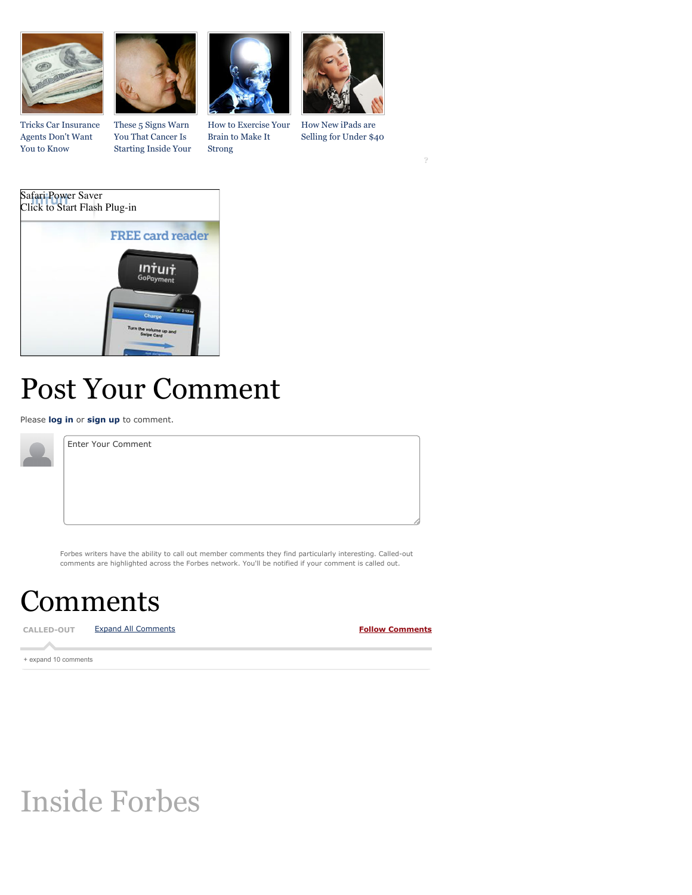

[Tricks Car Insurance](http://howlifeworks.com/finance/There_are_Two_Kinds_of_Auto_Insurance_Buyers_Which_Kind_Are_You_107?ag_id=1119&wid=2598B1FB-FEB3-4820-88A7-6A9B8291BCD3&did=2685&cid=1005&si_id=3017&pubs_source=mpt&pubs_campaign=20131120-1119) Agents Don't Want You to Know



These 5 Signs Warn You That Cancer Is [Starting Inside Your](http://howlifeworks.com/health_beauty/These_5_Signs_Warn_You_That_Cancer_Is_Starting_Inside_Your_Body_154?ag_id=1447&wid=2598B1FB-FEB3-4820-88A7-6A9B8291BCD3&did=2685&cid=1005_oc&si_id=2940)



[How to Exercise Your](http://howlifeworks.com/health_beauty/brain_training?ag_id=291&wid=2598B1FB-FEB3-4820-88A7-6A9B8291BCD3&did=2685&cid=1005&si_id=795) Brain to Make It Strong



How New iPads are [Selling for Under \\$40](http://firsttoknow.com/article/?utm_source=mpt&utm_campaign=20131120-1297&ag=1297&awguid=2598B1FB-FEB3-4820-88A7-6A9B8291BCD3&si_id=1988)

**?**

Safari Power Saver Click to Start Flash Plug-in **FREE** card reader  $\mathop{\mathsf{Iniuni}}\limits_{\mathsf{GoPayment}}$ he volume up and<br>Swipe Cant

# Post Your Comment

Please **[log in](http://blogs.forbes.com/account/login/?redirect_to=http://www.forbes.com/sites/sylviavorhausersmith/2013/08/14/how-the-best-places-to-work-are-nailing-employee-engagement/)** or **[sign up](http://blogs.forbes.com/account/register/?redirect_to=http://www.forbes.com/sites/sylviavorhausersmith/2013/08/14/how-the-best-places-to-work-are-nailing-employee-engagement/)** to comment.



Enter Your Comment

Forbes writers have the ability to call out member comments they find particularly interesting. Called-out comments are highlighted across the Forbes network. You'll be notified if your comment is called out.

## **Comments**

**[CALLED-OUT](http://www.forbes.com/ajax/comment/calledout/1/?contentUri=http%3A%2F%2Fwww.forbes.com%2Fsites%2Fsylviavorhausersmith%2F2013%2F08%2F14%2Fhow-the-best-places-to-work-are-nailing-employee-engagement%2F)** [Expand All Comments](http://www.forbes.com/ajax/comment/general/1/?contentUri=http%3A%2F%2Fwww.forbes.com%2Fsites%2Fsylviavorhausersmith%2F2013%2F08%2F14%2Fhow-the-best-places-to-work-are-nailing-employee-engagement%2F) **[Follow Comments](javascript://follow)**

+ expand 10 comments

Inside Forbes